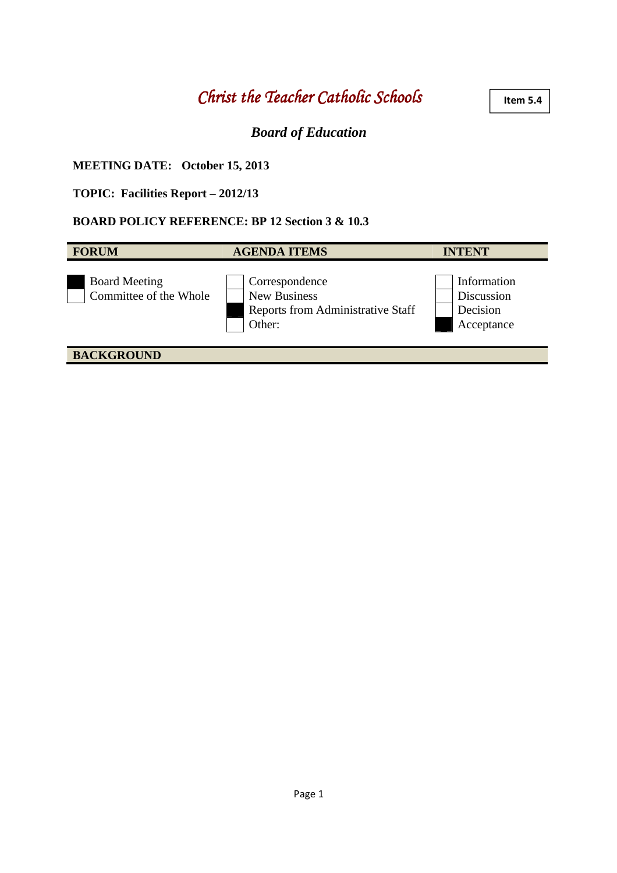# *Christ the Teacher Catholic Schools the Teacher Catholic Schools*

#### **Item 5.4**

# *Board of Education*

### **MEETING DATE: October 15, 2013**

### **TOPIC: Facilities Report – 2012/13**

#### **BOARD POLICY REFERENCE: BP 12 Section 3 & 10.3**

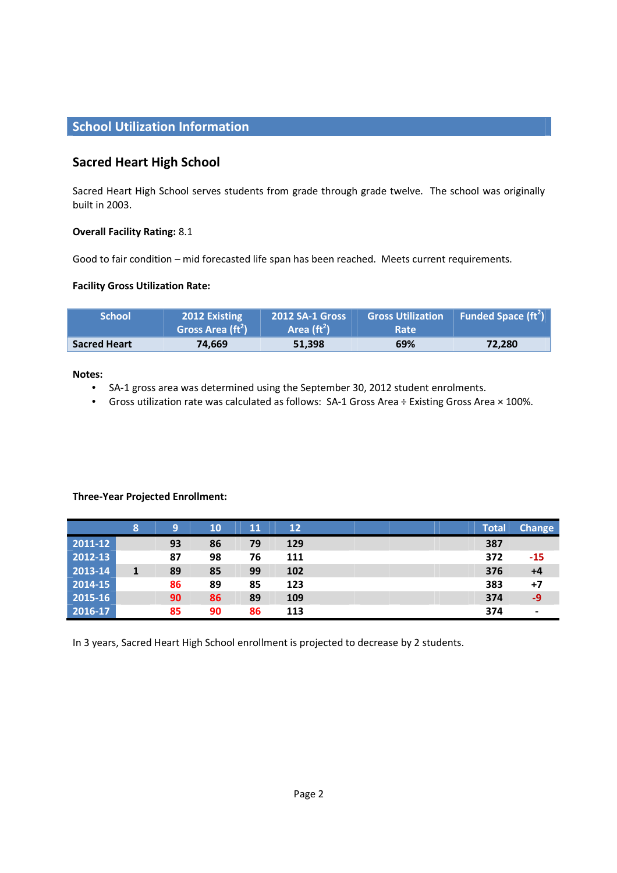# **School Utilization Information**

# **Sacred Heart High School**

Sacred Heart High School serves students from grade through grade twelve. The school was originally built in 2003.

#### **Overall Facility Rating:** 8.1

Good to fair condition – mid forecasted life span has been reached. Meets current requirements.

#### **Facility Gross Utilization Rate:**

| <b>School'</b>      | 2012 Existing<br>Gross Area $(\text{ft}^2)$ | <b>2012 SA-1 Gross</b><br>Area $(\text{ft}^2)$ | <b>Gross Utilization</b><br><b>Rate</b> | Funded Space $({\rm ft}^2)$ |
|---------------------|---------------------------------------------|------------------------------------------------|-----------------------------------------|-----------------------------|
| <b>Sacred Heart</b> | 74.669                                      | 51.398                                         | 69%                                     | 72,280                      |

#### **Notes:**

- SA-1 gross area was determined using the September 30, 2012 student enrolments.
- Gross utilization rate was calculated as follows: SA-1 Gross Area ÷ Existing Gross Area × 100%.

#### **Three-Year Projected Enrollment:**

|         | 8            | 9  | 10 | ${\bf 11}$ | 12  |  |  | <b>Total</b> | <b>Change</b>  |
|---------|--------------|----|----|------------|-----|--|--|--------------|----------------|
| 2011-12 |              | 93 | 86 | 79         | 129 |  |  | 387          |                |
| 2012-13 |              | 87 | 98 | 76         | 111 |  |  | 372          | $-15$          |
| 2013-14 | $\mathbf{1}$ | 89 | 85 | 99         | 102 |  |  | 376          | $+4$           |
| 2014-15 |              | 86 | 89 | 85         | 123 |  |  | 383          | $+7$           |
| 2015-16 |              | 90 | 86 | 89         | 109 |  |  | 374          | -9             |
| 2016-17 |              | 85 | 90 | 86         | 113 |  |  | 374          | $\blacksquare$ |

In 3 years, Sacred Heart High School enrollment is projected to decrease by 2 students.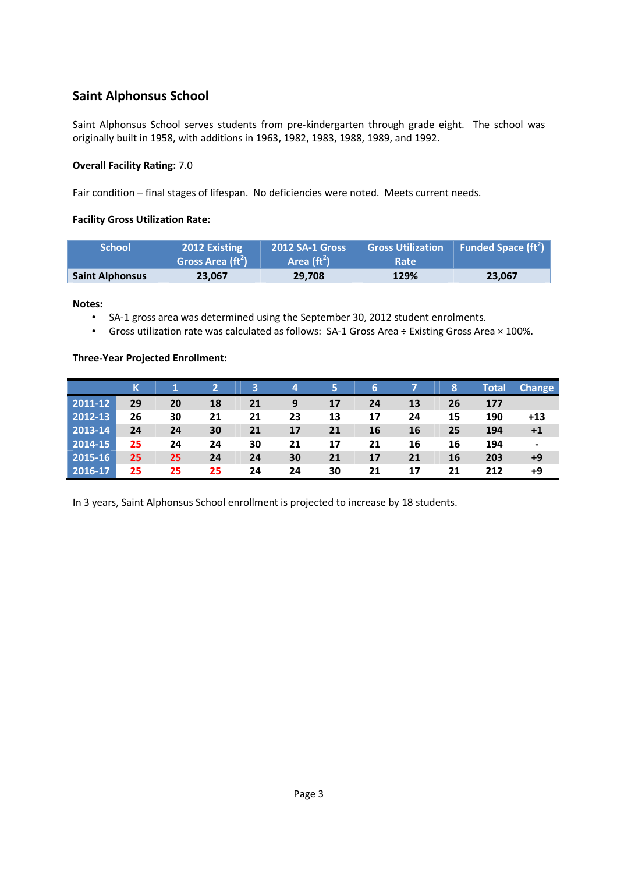# **Saint Alphonsus School**

Saint Alphonsus School serves students from pre-kindergarten through grade eight. The school was originally built in 1958, with additions in 1963, 1982, 1983, 1988, 1989, and 1992.

#### **Overall Facility Rating:** 7.0

Fair condition – final stages of lifespan. No deficiencies were noted. Meets current needs.

#### **Facility Gross Utilization Rate:**

| <b>School</b>          | <b>2012 Existing</b><br>Gross Area $({\rm ft}^2)$ | <b>2012 SA-1 Gross</b><br>Area $(\text{ft}^2)$ | <b>Gross Utilization</b><br><b>Rate</b> | <b>Funded Space (ft<sup>2</sup>)</b> |
|------------------------|---------------------------------------------------|------------------------------------------------|-----------------------------------------|--------------------------------------|
| <b>Saint Alphonsus</b> | 23.067                                            | 29.708                                         | 129%                                    | 23.067                               |

**Notes:** 

- SA-1 gross area was determined using the September 30, 2012 student enrolments.
- Gross utilization rate was calculated as follows: SA-1 Gross Area ÷ Existing Gross Area × 100%.

#### **Three-Year Projected Enrollment:**

|               | К  |    |    |    | 4  | 5  | 6  |    | 8  | Total | <b>Change</b> |
|---------------|----|----|----|----|----|----|----|----|----|-------|---------------|
| 2011-12       | 29 | 20 | 18 | 21 | 9  | 17 | 24 | 13 | 26 | 177   |               |
| 2012-13       | 26 | 30 | 21 | 21 | 23 | 13 | 17 | 24 | 15 | 190   | $+13$         |
| 2013-14       | 24 | 24 | 30 | 21 | 17 | 21 | 16 | 16 | 25 | 194   | +1            |
| 2014-15       | 25 | 24 | 24 | 30 | 21 | 17 | 21 | 16 | 16 | 194   |               |
| $ 2015 - 16 $ | 25 | 25 | 24 | 24 | 30 | 21 | 17 | 21 | 16 | 203   | +9            |
| 2016-17       | 25 | 25 | 25 | 24 | 24 | 30 | 21 | 17 | 21 | 212   | +9            |

In 3 years, Saint Alphonsus School enrollment is projected to increase by 18 students.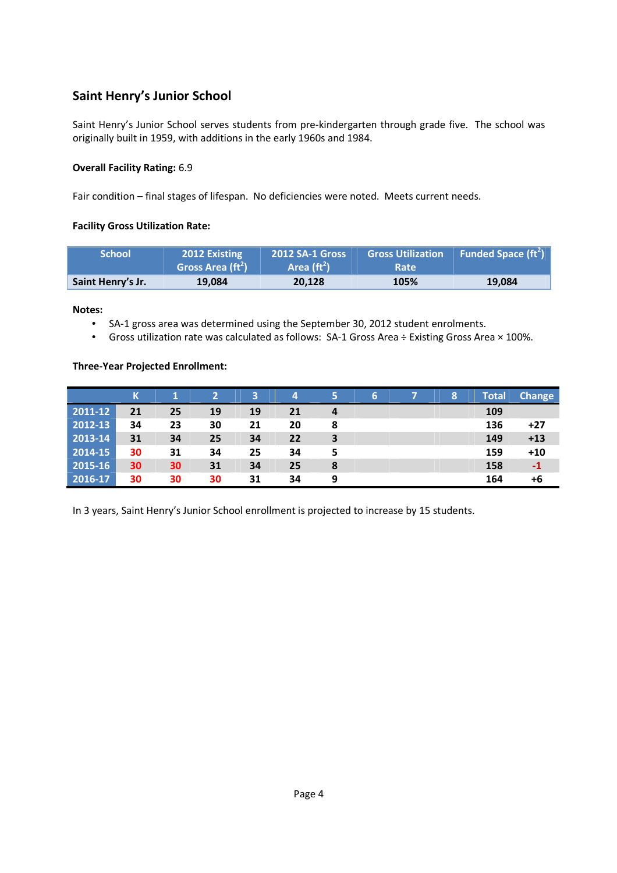# **Saint Henry's Junior School**

Saint Henry's Junior School serves students from pre-kindergarten through grade five. The school was originally built in 1959, with additions in the early 1960s and 1984.

#### **Overall Facility Rating:** 6.9

Fair condition – final stages of lifespan. No deficiencies were noted. Meets current needs.

### **Facility Gross Utilization Rate:**

| <b>School</b>     | <b>2012 Existing</b><br>Gross Area (ft <sup>2</sup> ) | <b>2012 SA-1 Gross</b><br>Area $(\text{ft}^2)$ | <b>Gross Utilization</b><br><b>Rate</b> | <b>Funded Space (ft<sup>2</sup>)</b> |
|-------------------|-------------------------------------------------------|------------------------------------------------|-----------------------------------------|--------------------------------------|
| Saint Henry's Jr. | 19.084                                                | 20.128                                         | 105%                                    | 19.084                               |

**Notes:** 

- SA-1 gross area was determined using the September 30, 2012 student enrolments.
- Gross utilization rate was calculated as follows: SA-1 Gross Area ÷ Existing Gross Area × 100%.

#### **Three-Year Projected Enrollment:**

|             | К  |    | $\overline{2}$ | 3  | 4  | 5 | 6 | 8 | Total | <b>Change</b> |
|-------------|----|----|----------------|----|----|---|---|---|-------|---------------|
| 2011-12     | 21 | 25 | 19             | 19 | 21 | 4 |   |   | 109   |               |
| 2012-13     | 34 | 23 | 30             | 21 | 20 | 8 |   |   | 136   | +27           |
| 2013-14     | 31 | 34 | 25             | 34 | 22 | 3 |   |   | 149   | $+13$         |
| $2014 - 15$ | 30 | 31 | 34             | 25 | 34 | 5 |   |   | 159   | $+10$         |
| 2015-16     | 30 | 30 | 31             | 34 | 25 | 8 |   |   | 158   | $-1$          |
| 2016-17     | 30 | 30 | 30             | 31 | 34 | 9 |   |   | 164   | +6            |

In 3 years, Saint Henry's Junior School enrollment is projected to increase by 15 students.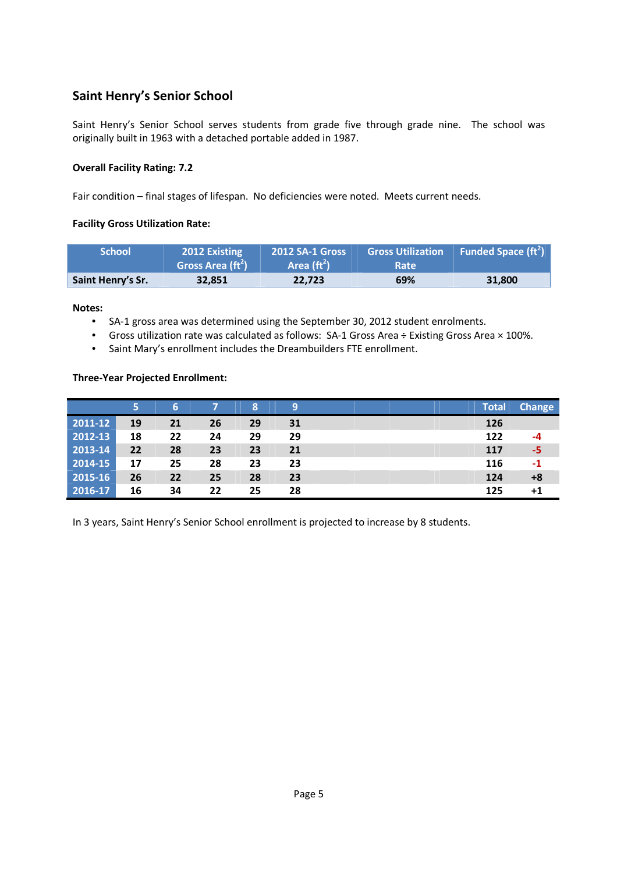# **Saint Henry's Senior School**

Saint Henry's Senior School serves students from grade five through grade nine. The school was originally built in 1963 with a detached portable added in 1987.

#### **Overall Facility Rating: 7.2**

Fair condition – final stages of lifespan. No deficiencies were noted. Meets current needs.

#### **Facility Gross Utilization Rate:**

| <b>School</b>     | <b>2012 Existing</b><br>Gross Area (ft <sup>2</sup> ) | <b>2012 SA-1 Gross</b><br>Area $(\text{ft}^2)$ | <b>Gross Utilization</b><br><b>Rate</b> | <b>Funded Space (ft<sup>2</sup>)</b> |
|-------------------|-------------------------------------------------------|------------------------------------------------|-----------------------------------------|--------------------------------------|
| Saint Henry's Sr. | 32,851                                                | 22.723                                         | 69%                                     | 31,800                               |

**Notes:** 

- SA-1 gross area was determined using the September 30, 2012 student enrolments.
- Gross utilization rate was calculated as follows: SA-1 Gross Area ÷ Existing Gross Area × 100%.
- Saint Mary's enrollment includes the Dreambuilders FTE enrollment.

#### **Three-Year Projected Enrollment:**

|             | 5  | 6. |    | 8  | 9  |  | <b>Total</b> | <b>Change</b> |
|-------------|----|----|----|----|----|--|--------------|---------------|
| 2011-12     | 19 | 21 | 26 | 29 | 31 |  | 126          |               |
| 2012-13     | 18 | 22 | 24 | 29 | 29 |  | 122          | -4            |
| $2013 - 14$ | 22 | 28 | 23 | 23 | 21 |  | 117          | -5            |
| 2014-15     | 17 | 25 | 28 | 23 | 23 |  | 116          | -1            |
| $2015 - 16$ | 26 | 22 | 25 | 28 | 23 |  | 124          | +8            |
| $2016 - 17$ | 16 | 34 | 22 | 25 | 28 |  | 125          | $+1$          |

In 3 years, Saint Henry's Senior School enrollment is projected to increase by 8 students.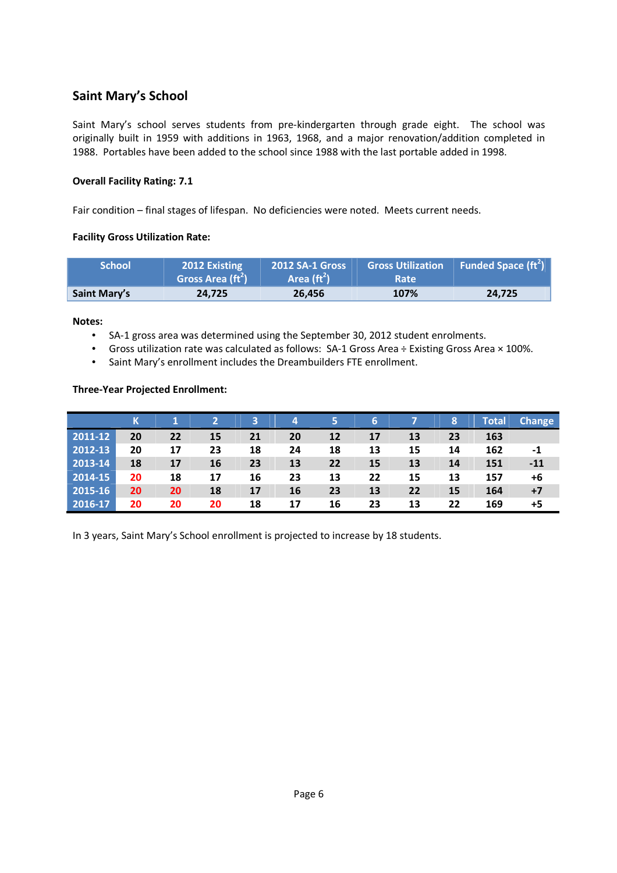# **Saint Mary's School**

Saint Mary's school serves students from pre-kindergarten through grade eight. The school was originally built in 1959 with additions in 1963, 1968, and a major renovation/addition completed in 1988. Portables have been added to the school since 1988 with the last portable added in 1998.

#### **Overall Facility Rating: 7.1**

Fair condition – final stages of lifespan. No deficiencies were noted. Meets current needs.

#### **Facility Gross Utilization Rate:**

| <b>School</b> '     | 2012 Existing<br>Gross Area (ft <sup>2</sup> ) | <b>2012 SA-1 Gross</b><br>Area $(\text{ft}^2)$ | <b>Gross Utilization</b><br>Rate | Funded Space $(\text{ft}^2)$ |
|---------------------|------------------------------------------------|------------------------------------------------|----------------------------------|------------------------------|
| <b>Saint Mary's</b> | 24,725                                         | 26.456                                         | 107%                             | 24.725                       |

#### **Notes:**

- SA-1 gross area was determined using the September 30, 2012 student enrolments.
- Gross utilization rate was calculated as follows: SA-1 Gross Area ÷ Existing Gross Area × 100%.
- Saint Mary's enrollment includes the Dreambuilders FTE enrollment.

#### **Three-Year Projected Enrollment:**

|             |    |    |    | 3  | 4  |    | 6  |    | 8  | Total | <b>Change</b> |
|-------------|----|----|----|----|----|----|----|----|----|-------|---------------|
| 2011-12     | 20 | 22 | 15 | 21 | 20 | 12 | 17 | 13 | 23 | 163   |               |
| 2012-13     | 20 | 17 | 23 | 18 | 24 | 18 | 13 | 15 | 14 | 162   | -1            |
| 2013-14     | 18 | 17 | 16 | 23 | 13 | 22 | 15 | 13 | 14 | 151   | $-11$         |
| $2014 - 15$ | 20 | 18 | 17 | 16 | 23 | 13 | 22 | 15 | 13 | 157   | +6            |
| 2015-16     | 20 | 20 | 18 | 17 | 16 | 23 | 13 | 22 | 15 | 164   | $+7$          |
| 2016-17     | 20 | 20 | 20 | 18 | 17 | 16 | 23 | 13 | 22 | 169   | +5            |

In 3 years, Saint Mary's School enrollment is projected to increase by 18 students.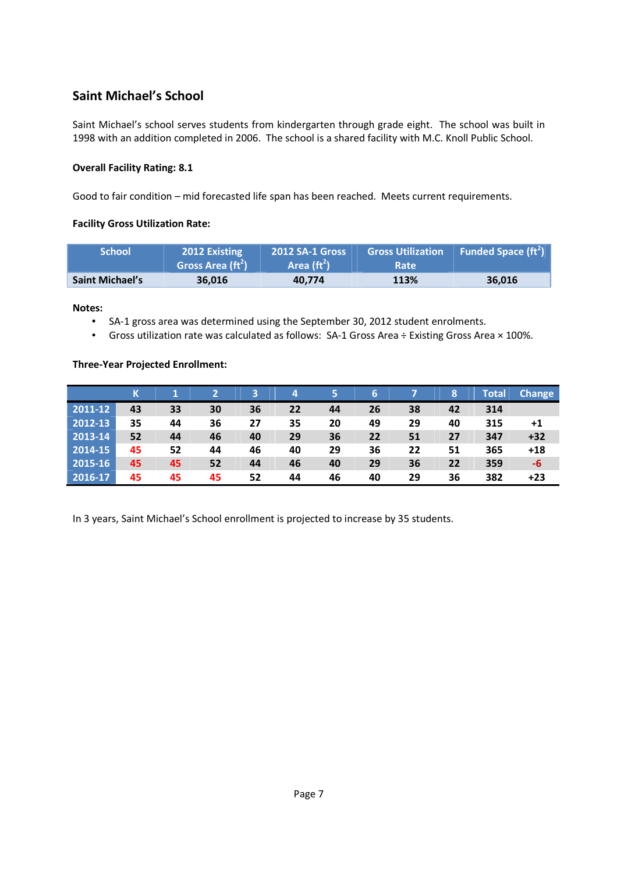# **Saint Michael's School**

Saint Michael's school serves students from kindergarten through grade eight. The school was built in 1998 with an addition completed in 2006. The school is a shared facility with M.C. Knoll Public School.

#### **Overall Facility Rating: 8.1**

Good to fair condition – mid forecasted life span has been reached. Meets current requirements.

#### **Facility Gross Utilization Rate:**

| <b>School</b>          | 2012 Existing<br>Gross Area $({\rm ft}^2)$ | <b>2012 SA-1 Gross</b><br>Area $(\text{ft}^2)$ | <b>Gross Utilization</b><br><b>Rate</b> | Funded Space $({\rm ft}^2)$ |
|------------------------|--------------------------------------------|------------------------------------------------|-----------------------------------------|-----------------------------|
| <b>Saint Michael's</b> | 36.016                                     | 40.774                                         | 113%                                    | 36.016                      |

**Notes:** 

- SA-1 gross area was determined using the September 30, 2012 student enrolments.
- Gross utilization rate was calculated as follows: SA-1 Gross Area ÷ Existing Gross Area × 100%.

#### **Three-Year Projected Enrollment:**

|             |    |    |    | в  | 4  | 5  | 6  |    | 8  | Total | <b>Change</b> |
|-------------|----|----|----|----|----|----|----|----|----|-------|---------------|
| 2011-12     | 43 | 33 | 30 | 36 | 22 | 44 | 26 | 38 | 42 | 314   |               |
| 2012-13     | 35 | 44 | 36 | 27 | 35 | 20 | 49 | 29 | 40 | 315   | +1            |
| 2013-14     | 52 | 44 | 46 | 40 | 29 | 36 | 22 | 51 | 27 | 347   | $+32$         |
| $ 2014-15 $ | 45 | 52 | 44 | 46 | 40 | 29 | 36 | 22 | 51 | 365   | $+18$         |
| 2015-16     | 45 | 45 | 52 | 44 | 46 | 40 | 29 | 36 | 22 | 359   | -6            |
| $2016 - 17$ | 45 | 45 | 45 | 52 | 44 | 46 | 40 | 29 | 36 | 382   | $+23$         |

In 3 years, Saint Michael's School enrollment is projected to increase by 35 students.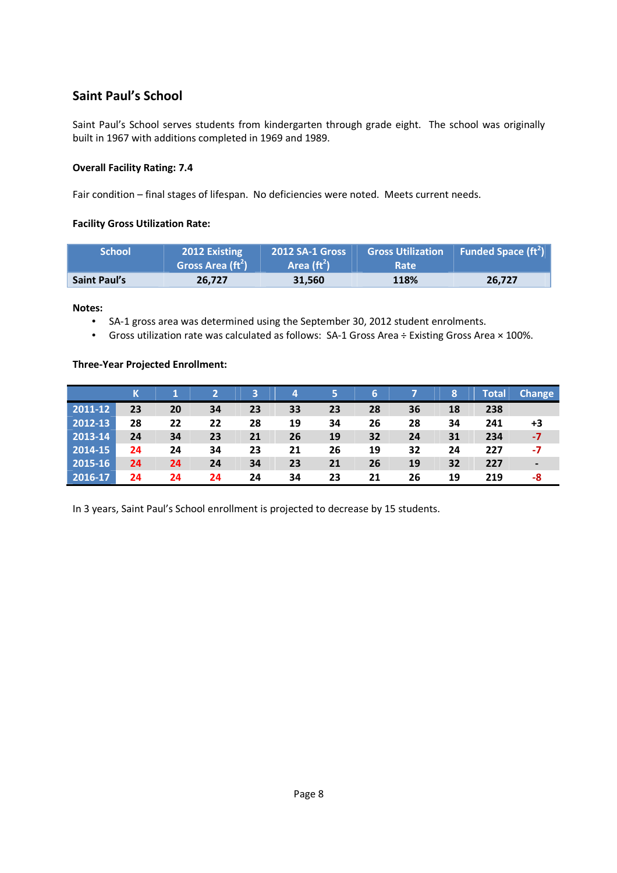# **Saint Paul's School**

Saint Paul's School serves students from kindergarten through grade eight. The school was originally built in 1967 with additions completed in 1969 and 1989.

#### **Overall Facility Rating: 7.4**

Fair condition – final stages of lifespan. No deficiencies were noted. Meets current needs.

#### **Facility Gross Utilization Rate:**

| <b>School</b>       | <b>2012 Existing</b><br>Gross Area (ft <sup>2</sup> ) | <b>2012 SA-1 Gross</b><br>Area $(\text{ft}^2)$ | <b>Gross Utilization</b><br><b>Rate</b> | Funded Space $(\text{ft}^2)$ |
|---------------------|-------------------------------------------------------|------------------------------------------------|-----------------------------------------|------------------------------|
| <b>Saint Paul's</b> | 26.727                                                | 31.560                                         | <b>118%</b>                             | 26.727                       |

**Notes:** 

- SA-1 gross area was determined using the September 30, 2012 student enrolments.
- Gross utilization rate was calculated as follows: SA-1 Gross Area ÷ Existing Gross Area × 100%.

#### **Three-Year Projected Enrollment:**

|               |    |    |    | 3  | 4  | 5  | 6  |    | 8  | Total | <b>Change</b> |
|---------------|----|----|----|----|----|----|----|----|----|-------|---------------|
| 2011-12       | 23 | 20 | 34 | 23 | 33 | 23 | 28 | 36 | 18 | 238   |               |
| 2012-13       | 28 | 22 | 22 | 28 | 19 | 34 | 26 | 28 | 34 | 241   | +3            |
| $ 2013 - 14 $ | 24 | 34 | 23 | 21 | 26 | 19 | 32 | 24 | 31 | 234   | -7            |
| 2014-15       | 24 | 24 | 34 | 23 | 21 | 26 | 19 | 32 | 24 | 227   | -7            |
| 2015-16       | 24 | 24 | 24 | 34 | 23 | 21 | 26 | 19 | 32 | 227   |               |
| 2016-17       | 24 | 24 | 24 | 24 | 34 | 23 | 21 | 26 | 19 | 219   | -8            |

In 3 years, Saint Paul's School enrollment is projected to decrease by 15 students.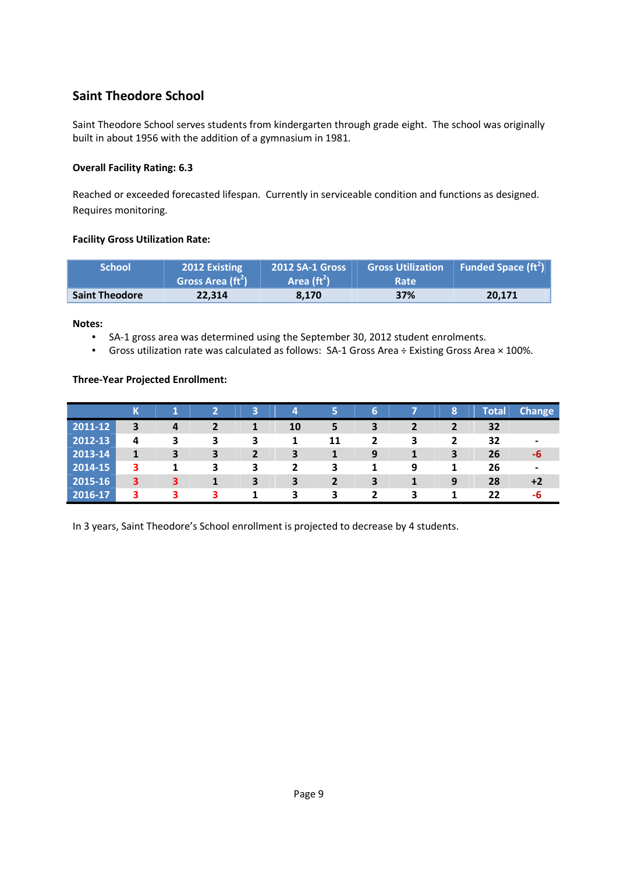# **Saint Theodore School**

Saint Theodore School serves students from kindergarten through grade eight. The school was originally built in about 1956 with the addition of a gymnasium in 1981.

#### **Overall Facility Rating: 6.3**

Reached or exceeded forecasted lifespan. Currently in serviceable condition and functions as designed. Requires monitoring.

#### **Facility Gross Utilization Rate:**

| <b>School</b>         | <b>2012 Existing</b><br>Gross Area (ft <sup>2</sup> ) | <b>2012 SA-1 Gross</b><br>Area $(\text{ft}^2)$ | <b>Gross Utilization</b><br><b>Rate</b> | Funded Space ( $ft^2$ ) |
|-----------------------|-------------------------------------------------------|------------------------------------------------|-----------------------------------------|-------------------------|
| <b>Saint Theodore</b> | 22.314                                                | 8.170                                          | 37%                                     | 20.171                  |

**Notes:** 

- SA-1 gross area was determined using the September 30, 2012 student enrolments.
- Gross utilization rate was calculated as follows: SA-1 Gross Area ÷ Existing Gross Area × 100%.

#### **Three-Year Projected Enrollment:**

|             | К |   |   | 3              | 4              | 5              | 6              |   | 8              | Total | <b>Change</b> |
|-------------|---|---|---|----------------|----------------|----------------|----------------|---|----------------|-------|---------------|
| 2011-12     | 3 | 4 |   | 1              | 10             | 5              | 3              |   |                | 32    |               |
| 2012-13     | 4 | 3 | 3 | 3              | 1              | 11             | $\overline{2}$ | 3 | $\overline{2}$ | 32    |               |
| 2013-14     | 1 | 3 | 3 | $\overline{2}$ | 3              | 1              | 9              |   | 3              | 26    | -b            |
| $ 2014-15 $ | 3 | 1 | 3 | 3              | $\overline{2}$ | 3              |                | 9 |                | 26    |               |
| 2015-16     | 3 | з |   | 3              | 3              | $\overline{2}$ | 3              |   | 9              | 28    |               |
| 2016-17     | 3 | 3 | 3 | 1              | 3              | 3              | 2              | 3 |                | 22    | -b            |

In 3 years, Saint Theodore's School enrollment is projected to decrease by 4 students.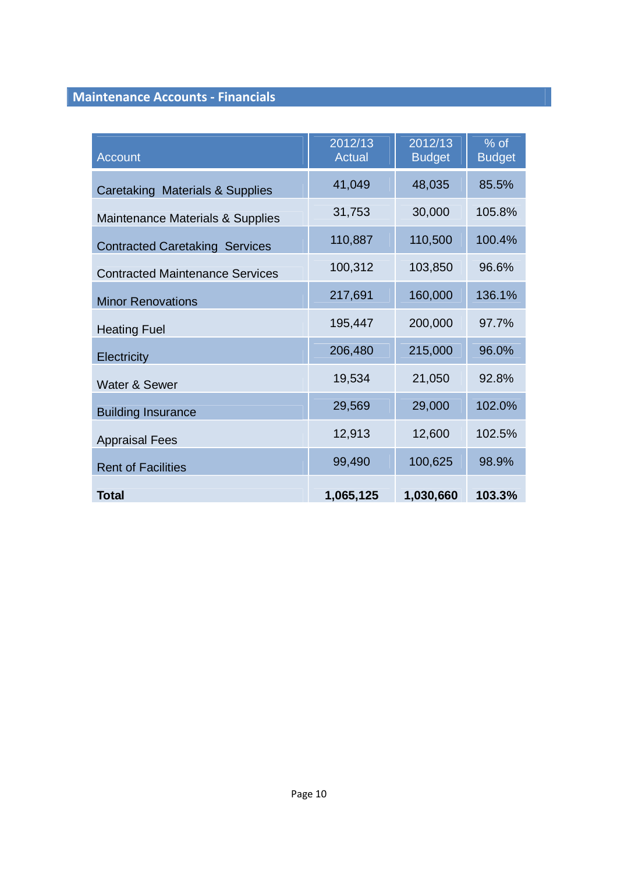# **Maintenance Accounts - Financials**

| <b>Account</b>                         | 2012/13<br><b>Actual</b> | 2012/13<br><b>Budget</b> | $%$ of<br><b>Budget</b> |
|----------------------------------------|--------------------------|--------------------------|-------------------------|
| Caretaking Materials & Supplies        | 41,049                   | 48,035                   | 85.5%                   |
| Maintenance Materials & Supplies       | 31,753                   | 30,000                   | 105.8%                  |
| <b>Contracted Caretaking Services</b>  | 110,887                  | 110,500                  | 100.4%                  |
| <b>Contracted Maintenance Services</b> | 100,312                  | 103,850                  | 96.6%                   |
| <b>Minor Renovations</b>               | 217,691                  | 160,000                  | 136.1%                  |
| <b>Heating Fuel</b>                    | 195,447                  | 200,000                  | 97.7%                   |
| Electricity                            | 206,480                  | 215,000                  | 96.0%                   |
| Water & Sewer                          | 19,534                   | 21,050                   | 92.8%                   |
| <b>Building Insurance</b>              | 29,569                   | 29,000                   | 102.0%                  |
| <b>Appraisal Fees</b>                  | 12,913                   | 12,600                   | 102.5%                  |
| <b>Rent of Facilities</b>              | 99,490                   | 100,625                  | 98.9%                   |
| Total                                  | 1,065,125                | 1,030,660                | 103.3%                  |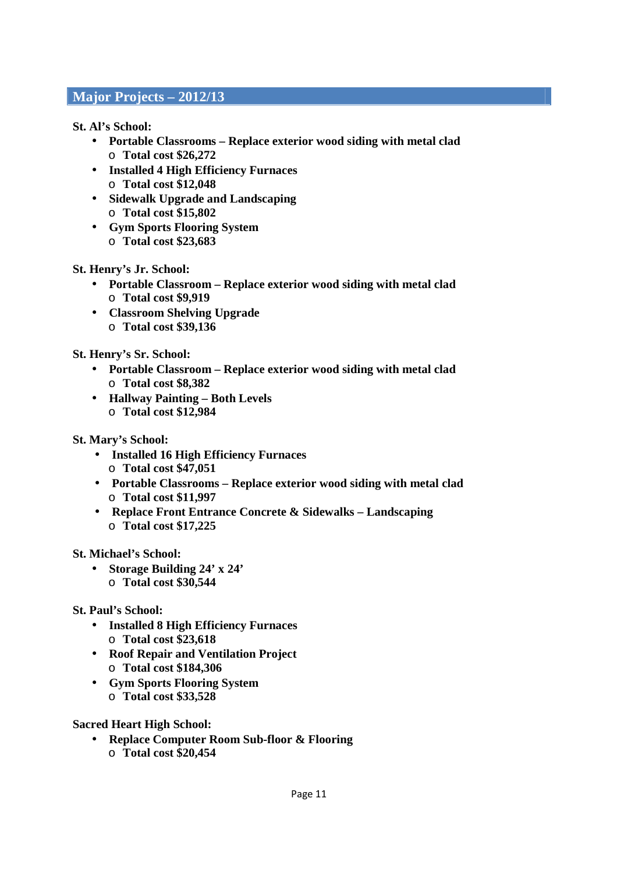# **Major Projects – 2012/13**

**St. Al's School:** 

- **Portable Classrooms Replace exterior wood siding with metal clad**  o **Total cost \$26,272**
- **Installed 4 High Efficiency Furnaces**  o **Total cost \$12,048**
- **Sidewalk Upgrade and Landscaping**  o **Total cost \$15,802**
- **Gym Sports Flooring System**  o **Total cost \$23,683**

**St. Henry's Jr. School:** 

- **Portable Classroom Replace exterior wood siding with metal clad**  o **Total cost \$9,919**
- **Classroom Shelving Upgrade**  o **Total cost \$39,136**

**St. Henry's Sr. School:** 

- **Portable Classroom Replace exterior wood siding with metal clad**  o **Total cost \$8,382**
- **Hallway Painting Both Levels**  o **Total cost \$12,984**

**St. Mary's School:** 

- **Installed 16 High Efficiency Furnaces**  o **Total cost \$47,051**
- **Portable Classrooms Replace exterior wood siding with metal clad**  o **Total cost \$11,997**
- **Replace Front Entrance Concrete & Sidewalks Landscaping**  o **Total cost \$17,225**

**St. Michael's School:** 

- **Storage Building 24' x 24'** 
	- o **Total cost \$30,544**

**St. Paul's School:** 

- **Installed 8 High Efficiency Furnaces**  o **Total cost \$23,618**
- **Roof Repair and Ventilation Project**  o **Total cost \$184,306**
- **Gym Sports Flooring System**  o **Total cost \$33,528**

**Sacred Heart High School:** 

- **Replace Computer Room Sub-floor & Flooring** 
	- o **Total cost \$20,454**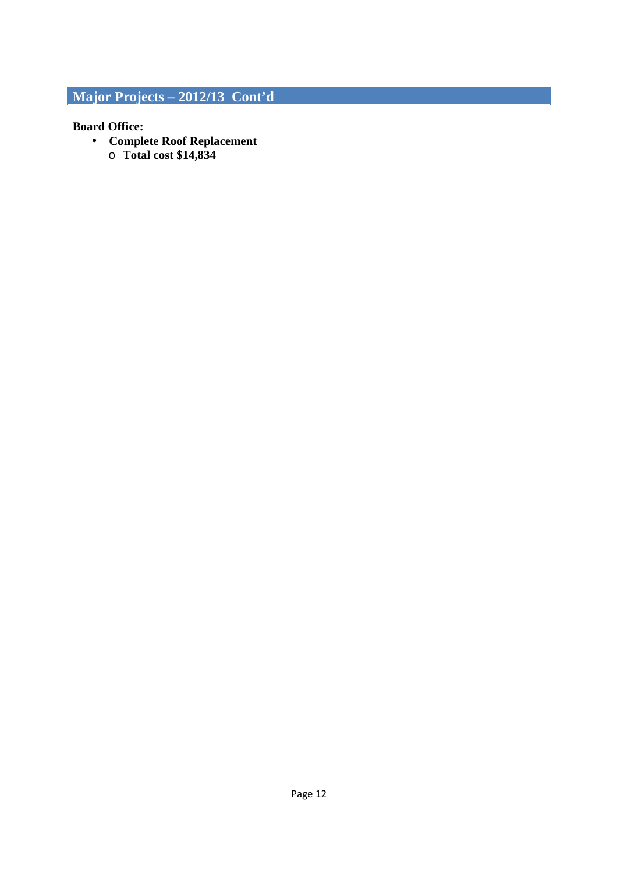# **Major Projects – 2012/13 Cont'd**

### **Board Office:**

- **Complete Roof Replacement** 
	- o **Total cost \$14,834**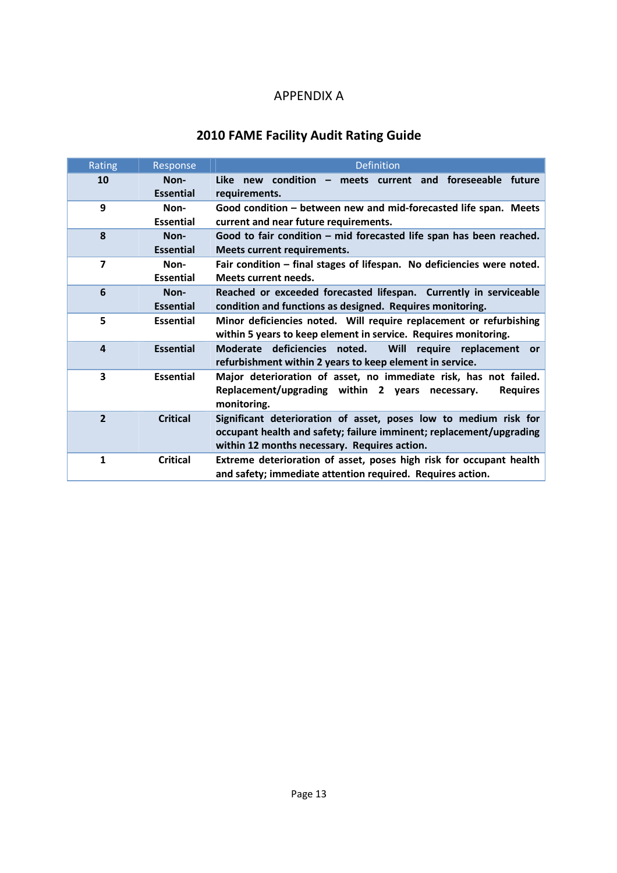# APPENDIX A

# **2010 FAME Facility Audit Rating Guide**

| Rating                  | Response                 | <b>Definition</b>                                                                                                                                                                       |
|-------------------------|--------------------------|-----------------------------------------------------------------------------------------------------------------------------------------------------------------------------------------|
| 10                      | Non-<br><b>Essential</b> | Like new condition - meets current and foreseeable future<br>requirements.                                                                                                              |
| 9                       | Non-<br><b>Essential</b> | Good condition – between new and mid-forecasted life span. Meets<br>current and near future requirements.                                                                               |
| 8                       | Non-<br><b>Essential</b> | Good to fair condition - mid forecasted life span has been reached.<br>Meets current requirements.                                                                                      |
| $\overline{7}$          | Non-<br><b>Essential</b> | Fair condition - final stages of lifespan. No deficiencies were noted.<br>Meets current needs.                                                                                          |
| 6                       | Non-<br><b>Essential</b> | Reached or exceeded forecasted lifespan. Currently in serviceable<br>condition and functions as designed. Requires monitoring.                                                          |
| 5                       | <b>Essential</b>         | Minor deficiencies noted. Will require replacement or refurbishing<br>within 5 years to keep element in service. Requires monitoring.                                                   |
| 4                       | <b>Essential</b>         | Moderate deficiencies noted.<br><b>Will</b><br>require<br>replacement<br>or<br>refurbishment within 2 years to keep element in service.                                                 |
| $\overline{\mathbf{3}}$ | <b>Essential</b>         | Major deterioration of asset, no immediate risk, has not failed.<br>Replacement/upgrading within 2 years necessary.<br><b>Requires</b><br>monitoring.                                   |
| $\overline{2}$          | <b>Critical</b>          | Significant deterioration of asset, poses low to medium risk for<br>occupant health and safety; failure imminent; replacement/upgrading<br>within 12 months necessary. Requires action. |
| $\mathbf{1}$            | <b>Critical</b>          | Extreme deterioration of asset, poses high risk for occupant health<br>and safety; immediate attention required. Requires action.                                                       |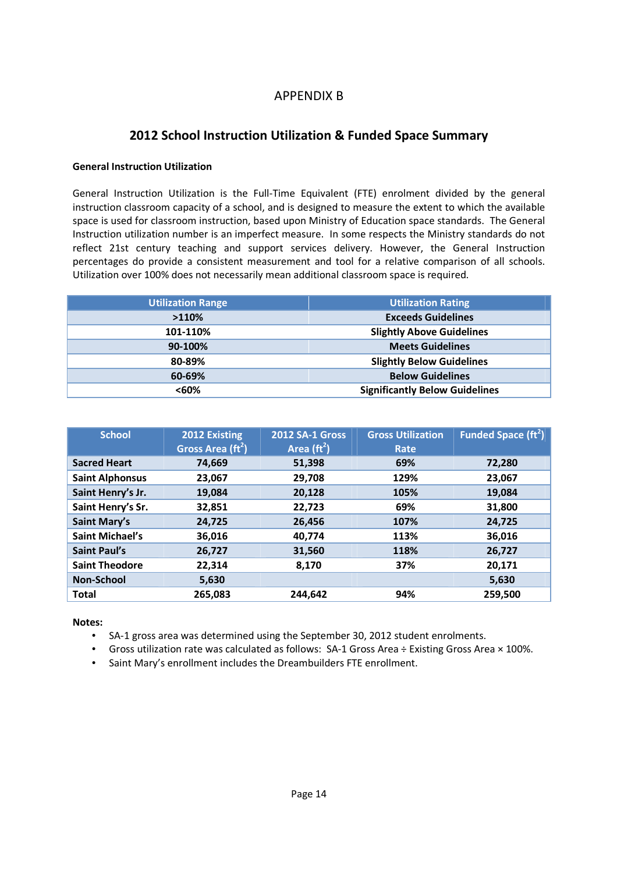# APPENDIX B

# **2012 School Instruction Utilization & Funded Space Summary**

#### **General Instruction Utilization**

General Instruction Utilization is the Full-Time Equivalent (FTE) enrolment divided by the general instruction classroom capacity of a school, and is designed to measure the extent to which the available space is used for classroom instruction, based upon Ministry of Education space standards. The General Instruction utilization number is an imperfect measure. In some respects the Ministry standards do not reflect 21st century teaching and support services delivery. However, the General Instruction percentages do provide a consistent measurement and tool for a relative comparison of all schools. Utilization over 100% does not necessarily mean additional classroom space is required.

| <b>Utilization Range</b> | <b>Utilization Rating</b>             |
|--------------------------|---------------------------------------|
| >110%                    | <b>Exceeds Guidelines</b>             |
| 101-110%                 | <b>Slightly Above Guidelines</b>      |
| 90-100%                  | <b>Meets Guidelines</b>               |
| 80-89%                   | <b>Slightly Below Guidelines</b>      |
| 60-69%                   | <b>Below Guidelines</b>               |
| <60%                     | <b>Significantly Below Guidelines</b> |

| <b>School</b>          | 2012 Existing<br>Gross Area $(\text{ft}^2)$ | <b>2012 SA-1 Gross</b><br>Area $(\text{ft}^2)$ | <b>Gross Utilization</b><br>Rate | Funded Space ( $ft^2$ ) |
|------------------------|---------------------------------------------|------------------------------------------------|----------------------------------|-------------------------|
| <b>Sacred Heart</b>    | 74.669                                      | 51,398                                         | 69%                              | 72,280                  |
| <b>Saint Alphonsus</b> | 23.067                                      | 29.708                                         | 129%                             | 23.067                  |
| Saint Henry's Jr.      | 19,084                                      | 20,128                                         | 105%                             | 19.084                  |
| Saint Henry's Sr.      | 32,851                                      | 22,723                                         | 69%                              | 31.800                  |
| <b>Saint Mary's</b>    | 24,725                                      | 26,456                                         | 107%                             | 24,725                  |
| <b>Saint Michael's</b> | 36,016                                      | 40,774                                         | 113%                             | 36,016                  |
| <b>Saint Paul's</b>    | 26,727                                      | 31,560                                         | 118%                             | 26,727                  |
| <b>Saint Theodore</b>  | 22,314                                      | 8,170                                          | 37%                              | 20,171                  |
| Non-School             | 5,630                                       |                                                |                                  | 5,630                   |
| <b>Total</b>           | 265,083                                     | 244.642                                        | 94%                              | 259,500                 |

**Notes:** 

- SA-1 gross area was determined using the September 30, 2012 student enrolments.
- Gross utilization rate was calculated as follows: SA-1 Gross Area ÷ Existing Gross Area × 100%.
- Saint Mary's enrollment includes the Dreambuilders FTE enrollment.